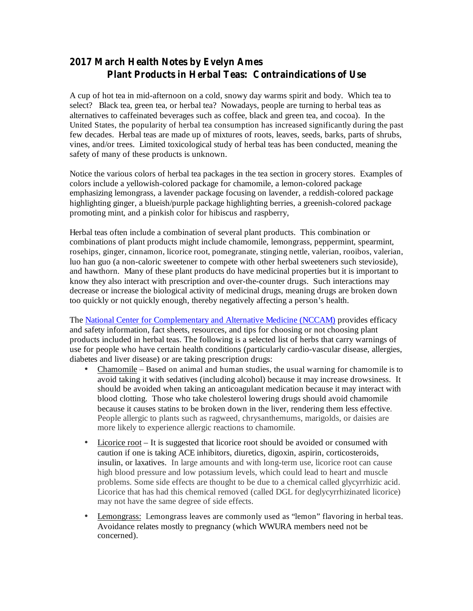## **2017 March Health Notes by Evelyn Ames Plant Products in Herbal Teas: Contraindications of Use**

A cup of hot tea in mid-afternoon on a cold, snowy day warms spirit and body. Which tea to select? Black tea, green tea, or herbal tea? Nowadays, people are turning to herbal teas as alternatives to caffeinated beverages such as coffee, black and green tea, and cocoa). In the United States, the popularity of herbal tea consumption has increased significantly during the past few decades. Herbal teas are made up of mixtures of roots, leaves, seeds, barks, parts of shrubs, vines, and/or trees. Limited toxicological study of herbal teas has been conducted, meaning the safety of many of these products is unknown.

Notice the various colors of herbal tea packages in the tea section in grocery stores. Examples of colors include a yellowish-colored package for chamomile, a lemon-colored package emphasizing lemongrass, a lavender package focusing on lavender, a reddish-colored package highlighting ginger, a blueish/purple package highlighting berries, a greenish-colored package promoting mint, and a pinkish color for hibiscus and raspberry,

Herbal teas often include a combination of several plant products. This combination or combinations of plant products might include chamomile, lemongrass, peppermint, spearmint, rosehips, ginger, cinnamon, licorice root, pomegranate, stinging nettle, valerian, rooibos, valerian, luo han guo (a non-caloric sweetener to compete with other herbal sweeteners such stevioside), and hawthorn. Many of these plant products do have medicinal properties but it is important to know they also interact with prescription and over-the-counter drugs. Such interactions may decrease or increase the biological activity of medicinal drugs, meaning drugs are broken down too quickly or not quickly enough, thereby negatively affecting a person's health.

The National Center for Complementary and Alternative Medicine (NCCAM) provides efficacy and safety information, fact sheets, resources, and tips for choosing or not choosing plant products included in herbal teas. The following is a selected list of herbs that carry warnings of use for people who have certain health conditions (particularly cardio-vascular disease, allergies, diabetes and liver disease) or are taking prescription drugs:

- Chamomile Based on animal and human studies, the usual warning for chamomile is to avoid taking it with sedatives (including alcohol) because it may increase drowsiness. It should be avoided when taking an anticoagulant medication because it may interact with blood clotting. Those who take cholesterol lowering drugs should avoid chamomile because it causes statins to be broken down in the liver, rendering them less effective. People allergic to plants such as ragweed, chrysanthemums, marigolds, or daisies are more likely to experience allergic reactions to chamomile. •
- Licorice root It is suggested that licorice root should be avoided or consumed with caution if one is taking ACE inhibitors, diuretics, digoxin, aspirin, corticosteroids, insulin, or laxatives. In large amounts and with long-term use, licorice root can cause high blood pressure and low potassium levels, which could lead to heart and muscle problems. Some side effects are thought to be due to a chemical called glycyrrhizic acid. Licorice that has had this chemical removed (called DGL for deglycyrrhizinated licorice) may not have the same degree of side effects.
- Lemongrass: Lemongrass leaves are commonly used as "lemon" flavoring in herbal teas. Avoidance relates mostly to pregnancy (which WWURA members need not be concerned).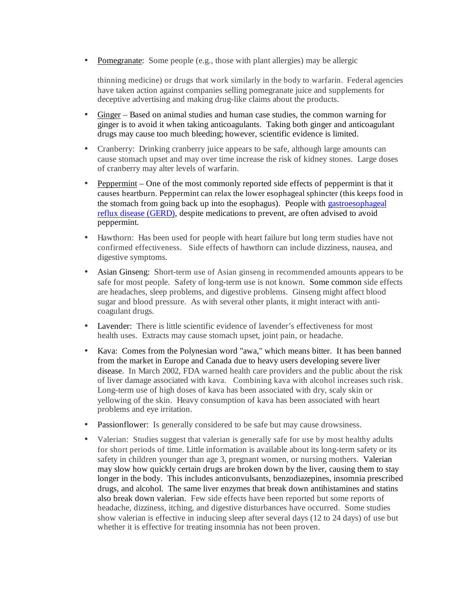• Pomegranate: Some people (e.g., those with plant allergies) may be allergic

thinning medicine) or drugs that work similarly in the body to warfarin. Federal agencies have taken action against companies selling pomegranate juice and supplements for deceptive advertising and making drug-like claims about the products.

- Ginger Based on animal studies and human case studies, the common warning for ginger is to avoid it when taking anticoagulants. Taking both ginger and anticoagulant drugs may cause too much bleeding; however, scientific evidence is limited.
- Cranberry: Drinking cranberry juice appears to be safe, although large amounts can cause stomach upset and may over time increase the risk of kidney stones. Large doses of cranberry may alter levels of warfarin.
- Peppermint One of the most commonly reported side effects of peppermint is that it causes heartburn. Peppermint can relax the lower esophageal sphincter (this keeps food in the stomach from going back up into the esophagus). People with gastroesophageal reflux disease (GERD), despite medications to prevent, are often advised to avoid peppermint.
- Hawthorn: Has been used for people with heart failure but long term studies have not confirmed effectiveness. Side effects of hawthorn can include dizziness, nausea, and digestive symptoms.
- Asian Ginseng: Short-term use of Asian ginseng in recommended amounts appears to be safe for most people. Safety of long-term use is not known. Some common side effects are headaches, sleep problems, and digestive problems. Ginseng might affect blood sugar and blood pressure. As with several other plants, it might interact with anticoagulant drugs.
- Lavender: There is little scientific evidence of lavender's effectiveness for most health uses. Extracts may cause stomach upset, joint pain, or headache.
- Kava: Comes from the Polynesian word "awa," which means bitter. It has been banned from the market in Europe and Canada due to heavy users developing severe liver disease. In March 2002, FDA warned health care providers and the public about the risk of liver damage associated with kava. Combining kava with alcohol increases such risk. Long-term use of high doses of kava has been associated with dry, scaly skin or yellowing of the skin. Heavy consumption of kava has been associated with heart problems and eye irritation.
- Passionflower: Is generally considered to be safe but may cause drowsiness.
- Valerian: Studies suggest that valerian is generally safe for use by most healthy adults for short periods of time. Little information is available about its long-term safety or its safety in children younger than age 3, pregnant women, or nursing mothers. Valerian may slow how quickly certain drugs are broken down by the liver, causing them to stay longer in the body. This includes anticonvulsants, benzodiazepines, insomnia prescribed drugs, and alcohol. The same liver enzymes that break down antihistamines and statins also break down valerian. Few side effects have been reported but some reports of headache, dizziness, itching, and digestive disturbances have occurred. Some studies show valerian is effective in inducing sleep after several days (12 to 24 days) of use but whether it is effective for treating insomnia has not been proven.